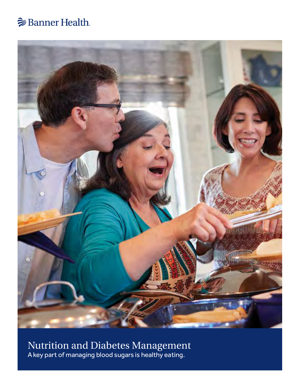# **Banner Health**



Nutrition and Diabetes Management A key part of managing blood sugars is healthy eating.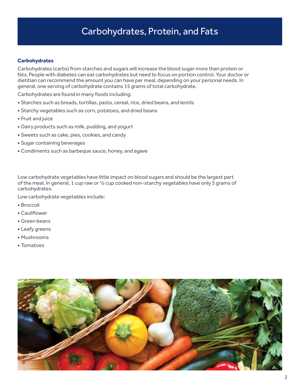# Carbohydrates, Protein, and Fats

### **Carbohydrates**

Carbohydrates (carbs) from starches and sugars will increase the blood sugar more than protein or fats. People with diabetes can eat carbohydrates but need to focus on portion control. Your doctor or dietitian can recommend the amount you can have per meal, depending on your personal needs. In general, one serving of carbohydrate contains 15 grams of total carbohydrate.

Carbohydrates are found in many foods including:

- Starches such as breads, tortillas, pasta, cereal, rice, dried beans, and lentils
- Starchy vegetables such as corn, potatoes, and dried beans
- Fruit and juice
- Dairy products such as milk, pudding, and yogurt
- Sweets such as cake, pies, cookies, and candy
- Sugar containing beverages
- Condiments such as barbeque sauce, honey, and agave

Low carbohydrate vegetables have little impact on blood sugars and should be the largest part of the meal. In general, 1 cup raw or ½ cup cooked non-starchy vegetables have only 5 grams of carbohydrates.

Low carbohydrate vegetables include:

- Broccoli
- Cauliflower
- Green beans
- Leafy greens
- Mushrooms
- Tomatoes

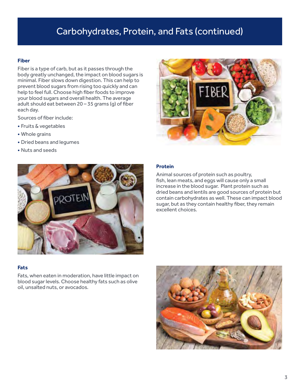# Carbohydrates, Protein, and Fats (continued)

#### **Fiber**

Fiber is a type of carb, but as it passes through the body greatly unchanged, the impact on blood sugars is minimal. Fiber slows down digestion. This can help to prevent blood sugars from rising too quickly and can help to feel full. Choose high fiber foods to improve your blood sugars and overall health. The average adult should eat between 20 – 35 grams (g) of fiber each day.

Sources of fiber include:

- Fruits & vegetables
- Whole grains
- Dried beans and legumes
- Nuts and seeds



#### **Protein**

Animal sources of protein such as poultry, fish, lean meats, and eggs will cause only a small increase in the blood sugar. Plant protein such as dried beans and lentils are good sources of protein but contain carbohydrates as well. These can impact blood sugar, but as they contain healthy fiber, they remain excellent choices.

#### **Fats**

Fats, when eaten in moderation, have little impact on blood sugar levels. Choose healthy fats such as olive oil, unsalted nuts, or avocados.

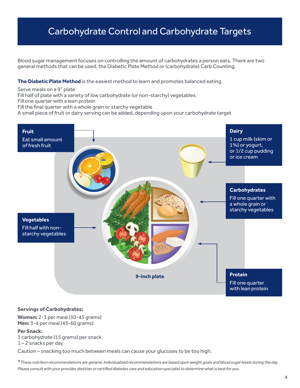# Carbohydrate Control and Carbohydrate Targets

Blood sugar management focuses on controlling the amount of carbohydrates a person eats. There are two general methods that can be used, the Diabetic Plate Method or (carbohydrate) Carb Counting.

**The Diabetic Plate Method** is the easiest method to learn and promotes balanced eating.

Serve meals on a 9" plate

Fill half of plate with a variety of low carbohydrate (or non-starchy) vegetables

Fill one quarter with a lean protein

Fill the final quarter with a whole grain or starchy vegetable

A small piece of fruit or dairy serving can be added, depending upon your carbohydrate target



#### **Servings of Carbohydrates:**

**Women:** 2-3 per meal (30-45 grams) **Men:** 3-4 per meal (45-60 grams)

#### **Per Snack:**

1 carbohydrate (15 grams) per snack  $1 - 2$  snacks per day

Caution – snacking too much between meals can cause your glucoses to be too high.

\**These nutrition recommendations are general. Individualized recommendations are based upon weight goals and blood sugar levels during the day. Please consult with your provider, dietitian or certified diabetes care and education specialist to determine what is best for you.*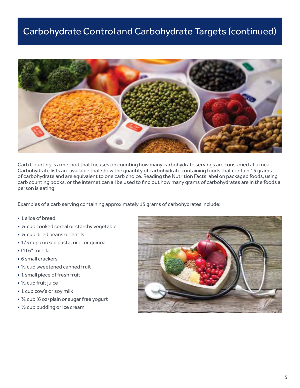# Carbohydrate Control and Carbohydrate Targets (continued)



Carb Counting is a method that focuses on counting how many carbohydrate servings are consumed at a meal. Carbohydrate lists are available that show the quantity of carbohydrate containing foods that contain 15 grams of carbohydrate and are equivalent to one carb choice. Reading the Nutrition Facts label on packaged foods, using carb counting books, or the internet can all be used to find out how many grams of carbohydrates are in the foods a person is eating.

Examples of a carb serving containing approximately 15 grams of carbohydrates include:

- 1 slice of bread
- ½ cup cooked cereal or starchy vegetable
- ½ cup dried beans or lentils
- 1/3 cup cooked pasta, rice, or quinoa
- (1) 6" tortilla
- 6 small crackers
- ½ cup sweetened canned fruit
- 1 small piece of fresh fruit
- ½ cup fruit juice
- 1 cup cow's or soy milk
- ¾ cup (6 oz) plain or sugar free yogurt
- ½ cup pudding or ice cream

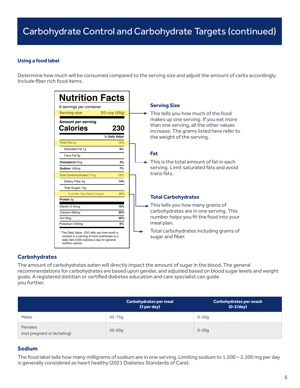### **Using a food label**

Determine how much will be consumed compared to the serving size and adjust the amount of carbs accordingly. Include fiber rich food items.

| <b>Nutrition Facts</b><br>8 servings per container                                                                                                                                                           | <b>Serving Size</b>                                                                                                                                                                              |
|--------------------------------------------------------------------------------------------------------------------------------------------------------------------------------------------------------------|--------------------------------------------------------------------------------------------------------------------------------------------------------------------------------------------------|
| <b>Serving size</b><br>$2/3$ cup $(55g)$<br>Amount per serving<br><b>Calories</b><br>230<br>% Daily Value*                                                                                                   | This tells you how much of the food<br>makes up one serving. If you eat more<br>than one serving, all the other values<br>increase. The grams listed here refer to<br>the weight of the serving. |
| <b>Total Fat 8q</b><br>10%<br>Saturated Fat 1q<br>5%<br>Trans Fat 0q<br>0%<br>Cholesterol 0mg<br>Sodium 160mg<br>7%<br><b>Total Carbohydrates 37mg</b><br>13%<br>Dietary Fiber 4q<br>14%<br>Total Sugars 12g | Fat<br>This is the total amount of fat in each<br>serving. Limit saturated fats and avoid<br>trans fats.                                                                                         |
| Includes 10g Added Sugars<br>20%<br>Protein 3q                                                                                                                                                               | <b>Total Carbohydrates</b>                                                                                                                                                                       |
| 10%<br>Vitamin D 2mcg<br>20%<br>Calcium 260mg<br>45%<br>Iron 8mg<br>6%<br>Potassium 235mg                                                                                                                    | $\rightarrow$ This tells you how many grams of<br>carbohydrates are in one serving. This<br>number helps you fit the food into your<br>meal plan.<br>Total carbohydrates including grams of      |
| * The Daily Value (DV) tells you how much a<br>nutrient in a serving of food contributes to a<br>daily diet 2,000 calories a day for general<br>nutrition advice.                                            | sugar and fiber.                                                                                                                                                                                 |

### **Carbohydrates**

The amount of carbohydrates eaten will directly impact the amount of sugar in the blood. The general recommendations for carbohydrates are based upon gender, and adjusted based on blood sugar levels and weight goals. A registered dietitian or certified diabetes education and care specialist can guide you further.

|                                        | <b>Carbohydrates per meal</b><br>(3 per day) | <b>Carbohydrates per snack</b><br>$(0-2/day)$ |
|----------------------------------------|----------------------------------------------|-----------------------------------------------|
| Males                                  | $45 - 75q$                                   | $0 - 30q$                                     |
| Females<br>(not pregnant or lactating) | $30 - 60q$                                   | $0 - 30q$                                     |

### **Sodium**

The food label tells how many milligrams of sodium are in one serving. Limiting sodium to 1,500 – 2,300 mg per day is generally considered as heart healthy (2021 Diabetes Standards of Care).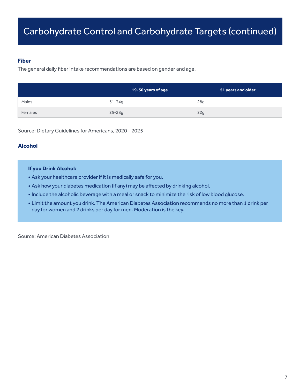### **Fiber**

The general daily fiber intake recommendations are based on gender and age.

|                | 19-50 years of age | 51 years and older |
|----------------|--------------------|--------------------|
| Males          | 31-34g             | 28g                |
| <b>Females</b> | $25 - 28g$         | 22g                |

Source: Dietary Guidelines for Americans, 2020 - 2025

## **Alcohol**

### **If you Drink Alcohol:**

- Ask your healthcare provider if it is medically safe for you.
- Ask how your diabetes medication (if any) may be affected by drinking alcohol.
- Include the alcoholic beverage with a meal or snack to minimize the risk of low blood glucose.
- Limit the amount you drink. The American Diabetes Association recommends no more than 1 drink per day for women and 2 drinks per day for men. Moderation is the key.

Source: American Diabetes Association